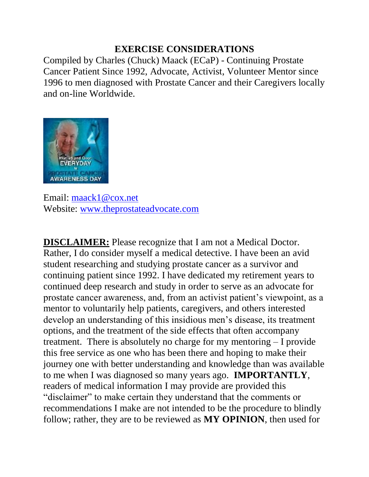#### **EXERCISE CONSIDERATIONS**

Compiled by Charles (Chuck) Maack (ECaP) - Continuing Prostate Cancer Patient Since 1992, Advocate, Activist, Volunteer Mentor since 1996 to men diagnosed with Prostate Cancer and their Caregivers locally and on-line Worldwide.



Email: [maack1@cox.net](mailto:maack1@cox.net) Website: [www.theprostateadvocate.com](http://www.theprostateadvocate.com/)

**DISCLAIMER:** Please recognize that I am not a Medical Doctor. Rather, I do consider myself a medical detective. I have been an avid student researching and studying prostate cancer as a survivor and continuing patient since 1992. I have dedicated my retirement years to continued deep research and study in order to serve as an advocate for prostate cancer awareness, and, from an activist patient's viewpoint, as a mentor to voluntarily help patients, caregivers, and others interested develop an understanding of this insidious men's disease, its treatment options, and the treatment of the side effects that often accompany treatment. There is absolutely no charge for my mentoring – I provide this free service as one who has been there and hoping to make their journey one with better understanding and knowledge than was available to me when I was diagnosed so many years ago. **IMPORTANTLY**, readers of medical information I may provide are provided this "disclaimer" to make certain they understand that the comments or recommendations I make are not intended to be the procedure to blindly follow; rather, they are to be reviewed as **MY OPINION**, then used for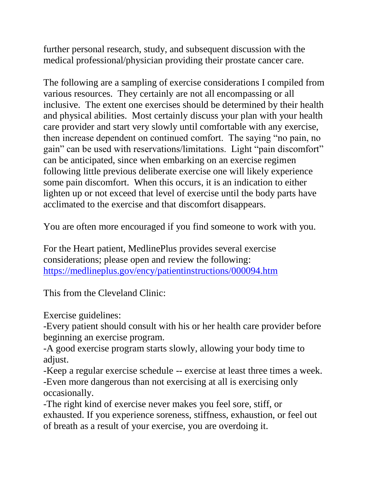further personal research, study, and subsequent discussion with the medical professional/physician providing their prostate cancer care.

The following are a sampling of exercise considerations I compiled from various resources. They certainly are not all encompassing or all inclusive. The extent one exercises should be determined by their health and physical abilities. Most certainly discuss your plan with your health care provider and start very slowly until comfortable with any exercise, then increase dependent on continued comfort. The saying "no pain, no gain" can be used with reservations/limitations. Light "pain discomfort" can be anticipated, since when embarking on an exercise regimen following little previous deliberate exercise one will likely experience some pain discomfort. When this occurs, it is an indication to either lighten up or not exceed that level of exercise until the body parts have acclimated to the exercise and that discomfort disappears.

You are often more encouraged if you find someone to work with you.

For the Heart patient, MedlinePlus provides several exercise considerations; please open and review the following: <https://medlineplus.gov/ency/patientinstructions/000094.htm>

This from the Cleveland Clinic:

Exercise guidelines:

-Every patient should consult with his or her health care provider before beginning an exercise program.

-A good exercise program starts slowly, allowing your body time to adjust.

-Keep a regular exercise schedule -- exercise at least three times a week. -Even more dangerous than not exercising at all is exercising only occasionally.

-The right kind of exercise never makes you feel sore, stiff, or exhausted. If you experience soreness, stiffness, exhaustion, or feel out of breath as a result of your exercise, you are overdoing it.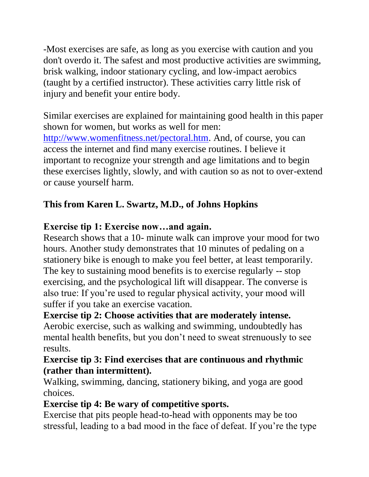-Most exercises are safe, as long as you exercise with caution and you don't overdo it. The safest and most productive activities are swimming, brisk walking, indoor stationary cycling, and low-impact aerobics (taught by a certified instructor). These activities carry little risk of injury and benefit your entire body.

Similar exercises are explained for maintaining good health in this paper shown for women, but works as well for men: [http://www.womenfitness.net/pectoral.htm.](http://www.womenfitness.net/pectoral.htm) And, of course, you can access the internet and find many exercise routines. I believe it important to recognize your strength and age limitations and to begin these exercises lightly, slowly, and with caution so as not to over-extend or cause yourself harm.

# **This from Karen L. Swartz, M.D., of Johns Hopkins**

### **Exercise tip 1: Exercise now…and again.**

Research shows that a 10- minute walk can improve your mood for two hours. Another study demonstrates that 10 minutes of pedaling on a stationery bike is enough to make you feel better, at least temporarily. The key to sustaining mood benefits is to exercise regularly -- stop exercising, and the psychological lift will disappear. The converse is also true: If you're used to regular physical activity, your mood will suffer if you take an exercise vacation.

**Exercise tip 2: Choose activities that are moderately intense.**  Aerobic exercise, such as walking and swimming, undoubtedly has mental health benefits, but you don't need to sweat strenuously to see results.

#### **Exercise tip 3: Find exercises that are continuous and rhythmic (rather than intermittent).**

Walking, swimming, dancing, stationery biking, and yoga are good choices.

## **Exercise tip 4: Be wary of competitive sports.**

Exercise that pits people head-to-head with opponents may be too stressful, leading to a bad mood in the face of defeat. If you're the type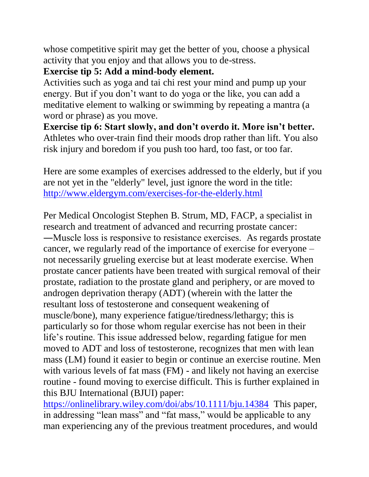whose competitive spirit may get the better of you, choose a physical activity that you enjoy and that allows you to de-stress.

#### **Exercise tip 5: Add a mind-body element.**

Activities such as yoga and tai chi rest your mind and pump up your energy. But if you don't want to do yoga or the like, you can add a meditative element to walking or swimming by repeating a mantra (a word or phrase) as you move.

**Exercise tip 6: Start slowly, and don't overdo it. More isn't better.**  Athletes who over-train find their moods drop rather than lift. You also risk injury and boredom if you push too hard, too fast, or too far.

Here are some examples of exercises addressed to the elderly, but if you are not yet in the "elderly" level, just ignore the word in the title: <http://www.eldergym.com/exercises-for-the-elderly.html>

Per Medical Oncologist Stephen B. Strum, MD, FACP, a specialist in research and treatment of advanced and recurring prostate cancer: ―Muscle loss is responsive to resistance exercises. As regards prostate cancer, we regularly read of the importance of exercise for everyone – not necessarily grueling exercise but at least moderate exercise. When prostate cancer patients have been treated with surgical removal of their prostate, radiation to the prostate gland and periphery, or are moved to androgen deprivation therapy (ADT) (wherein with the latter the resultant loss of testosterone and consequent weakening of muscle/bone), many experience fatigue/tiredness/lethargy; this is particularly so for those whom regular exercise has not been in their life's routine. This issue addressed below, regarding fatigue for men moved to ADT and loss of testosterone, recognizes that men with lean mass (LM) found it easier to begin or continue an exercise routine. Men with various levels of fat mass (FM) - and likely not having an exercise routine - found moving to exercise difficult. This is further explained in this BJU International (BJUI) paper:

<https://onlinelibrary.wiley.com/doi/abs/10.1111/bju.14384>This paper, in addressing "lean mass" and "fat mass," would be applicable to any man experiencing any of the previous treatment procedures, and would